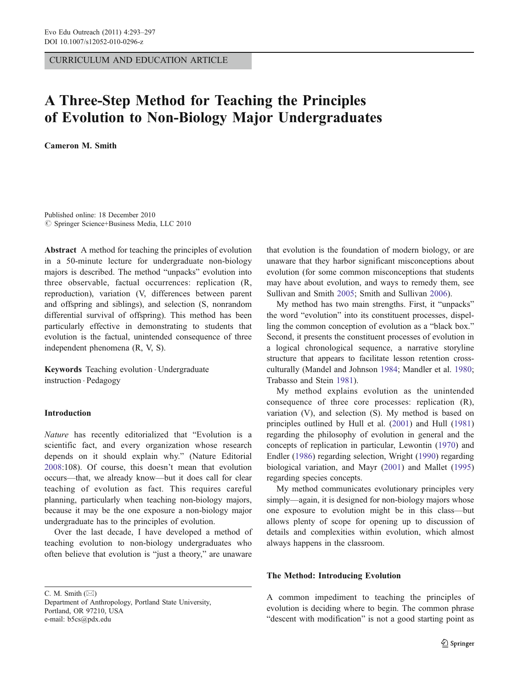CURRICULUM AND EDUCATION ARTICLE

# A Three-Step Method for Teaching the Principles of Evolution to Non-Biology Major Undergraduates

Cameron M. Smith

Published online: 18 December 2010  $©$  Springer Science+Business Media, LLC 2010

Abstract A method for teaching the principles of evolution in a 50-minute lecture for undergraduate non-biology majors is described. The method "unpacks" evolution into three observable, factual occurrences: replication (R, reproduction), variation (V, differences between parent and offspring and siblings), and selection (S, nonrandom differential survival of offspring). This method has been particularly effective in demonstrating to students that evolution is the factual, unintended consequence of three independent phenomena (R, V, S).

Keywords Teaching evolution . Undergraduate instruction . Pedagogy

## Introduction

Nature has recently editorialized that "Evolution is a scientific fact, and every organization whose research depends on it should explain why." (Nature Editorial [2008:](#page-4-0)108). Of course, this doesn't mean that evolution occurs—that, we already know—but it does call for clear teaching of evolution as fact. This requires careful planning, particularly when teaching non-biology majors, because it may be the one exposure a non-biology major undergraduate has to the principles of evolution.

Over the last decade, I have developed a method of teaching evolution to non-biology undergraduates who often believe that evolution is "just a theory," are unaware

C. M. Smith  $(\boxtimes)$ 

Department of Anthropology, Portland State University, Portland, OR 97210, USA e-mail: b5cs@pdx.edu

that evolution is the foundation of modern biology, or are unaware that they harbor significant misconceptions about evolution (for some common misconceptions that students may have about evolution, and ways to remedy them, see Sullivan and Smith [2005;](#page-4-0) Smith and Sullivan [2006\)](#page-4-0).

My method has two main strengths. First, it "unpacks" the word "evolution" into its constituent processes, dispelling the common conception of evolution as a "black box." Second, it presents the constituent processes of evolution in a logical chronological sequence, a narrative storyline structure that appears to facilitate lesson retention crossculturally (Mandel and Johnson [1984;](#page-4-0) Mandler et al. [1980;](#page-4-0) Trabasso and Stein [1981\)](#page-4-0).

My method explains evolution as the unintended consequence of three core processes: replication (R), variation (V), and selection (S). My method is based on principles outlined by Hull et al. [\(2001](#page-4-0)) and Hull [\(1981](#page-4-0)) regarding the philosophy of evolution in general and the concepts of replication in particular, Lewontin ([1970\)](#page-4-0) and Endler ([1986\)](#page-4-0) regarding selection, Wright [\(1990](#page-4-0)) regarding biological variation, and Mayr ([2001\)](#page-4-0) and Mallet [\(1995](#page-4-0)) regarding species concepts.

My method communicates evolutionary principles very simply—again, it is designed for non-biology majors whose one exposure to evolution might be in this class—but allows plenty of scope for opening up to discussion of details and complexities within evolution, which almost always happens in the classroom.

## The Method: Introducing Evolution

A common impediment to teaching the principles of evolution is deciding where to begin. The common phrase "descent with modification" is not a good starting point as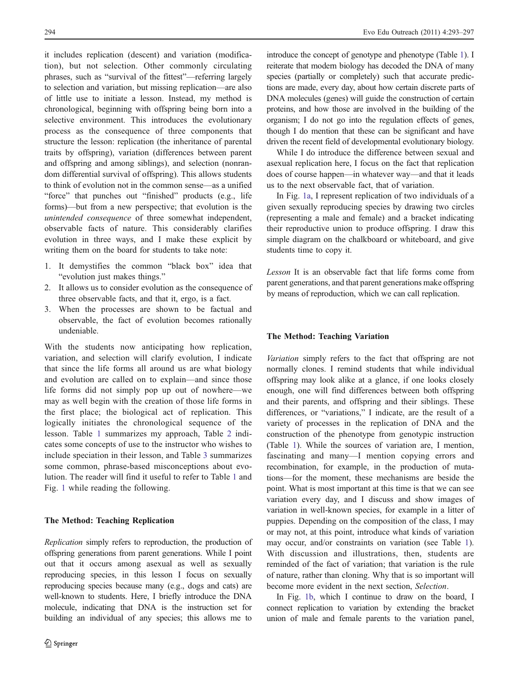it includes replication (descent) and variation (modification), but not selection. Other commonly circulating phrases, such as "survival of the fittest"—referring largely to selection and variation, but missing replication—are also of little use to initiate a lesson. Instead, my method is chronological, beginning with offspring being born into a selective environment. This introduces the evolutionary process as the consequence of three components that structure the lesson: replication (the inheritance of parental traits by offspring), variation (differences between parent and offspring and among siblings), and selection (nonrandom differential survival of offspring). This allows students to think of evolution not in the common sense—as a unified "force" that punches out "finished" products (e.g., life forms)—but from a new perspective; that evolution is the unintended consequence of three somewhat independent, observable facts of nature. This considerably clarifies evolution in three ways, and I make these explicit by writing them on the board for students to take note:

- 1. It demystifies the common "black box" idea that "evolution just makes things."
- 2. It allows us to consider evolution as the consequence of three observable facts, and that it, ergo, is a fact.
- 3. When the processes are shown to be factual and observable, the fact of evolution becomes rationally undeniable.

With the students now anticipating how replication, variation, and selection will clarify evolution, I indicate that since the life forms all around us are what biology and evolution are called on to explain—and since those life forms did not simply pop up out of nowhere—we may as well begin with the creation of those life forms in the first place; the biological act of replication. This logically initiates the chronological sequence of the lesson. Table [1](#page-2-0) summarizes my approach, Table [2](#page-2-0) indicates some concepts of use to the instructor who wishes to include speciation in their lesson, and Table [3](#page-3-0) summarizes some common, phrase-based misconceptions about evolution. The reader will find it useful to refer to Table [1](#page-2-0) and Fig. [1](#page-3-0) while reading the following.

### The Method: Teaching Replication

Replication simply refers to reproduction, the production of offspring generations from parent generations. While I point out that it occurs among asexual as well as sexually reproducing species, in this lesson I focus on sexually reproducing species because many (e.g., dogs and cats) are well-known to students. Here, I briefly introduce the DNA molecule, indicating that DNA is the instruction set for building an individual of any species; this allows me to

introduce the concept of genotype and phenotype (Table [1\)](#page-2-0). I reiterate that modern biology has decoded the DNA of many species (partially or completely) such that accurate predictions are made, every day, about how certain discrete parts of DNA molecules (genes) will guide the construction of certain proteins, and how those are involved in the building of the organism; I do not go into the regulation effects of genes, though I do mention that these can be significant and have driven the recent field of developmental evolutionary biology.

While I do introduce the difference between sexual and asexual replication here, I focus on the fact that replication does of course happen—in whatever way—and that it leads us to the next observable fact, that of variation.

In Fig. [1a,](#page-3-0) I represent replication of two individuals of a given sexually reproducing species by drawing two circles (representing a male and female) and a bracket indicating their reproductive union to produce offspring. I draw this simple diagram on the chalkboard or whiteboard, and give students time to copy it.

Lesson It is an observable fact that life forms come from parent generations, and that parent generations make offspring by means of reproduction, which we can call replication.

## The Method: Teaching Variation

Variation simply refers to the fact that offspring are not normally clones. I remind students that while individual offspring may look alike at a glance, if one looks closely enough, one will find differences between both offspring and their parents, and offspring and their siblings. These differences, or "variations," I indicate, are the result of a variety of processes in the replication of DNA and the construction of the phenotype from genotypic instruction (Table [1\)](#page-2-0). While the sources of variation are, I mention, fascinating and many—I mention copying errors and recombination, for example, in the production of mutations—for the moment, these mechanisms are beside the point. What is most important at this time is that we can see variation every day, and I discuss and show images of variation in well-known species, for example in a litter of puppies. Depending on the composition of the class, I may or may not, at this point, introduce what kinds of variation may occur, and/or constraints on variation (see Table [1\)](#page-2-0). With discussion and illustrations, then, students are reminded of the fact of variation; that variation is the rule of nature, rather than cloning. Why that is so important will become more evident in the next section, Selection.

In Fig. [1b,](#page-3-0) which I continue to draw on the board, I connect replication to variation by extending the bracket union of male and female parents to the variation panel,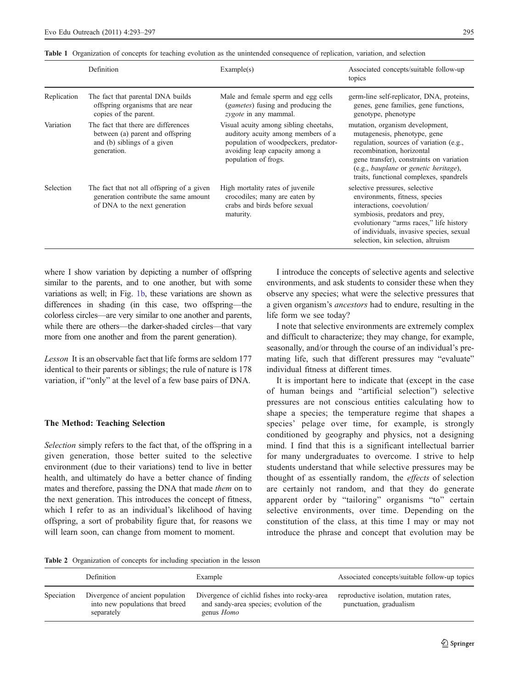|             | Definition                                                                                                            | Example(s)                                                                                                                                                                    | Associated concepts/suitable follow-up<br>topics                                                                                                                                                                                                                        |
|-------------|-----------------------------------------------------------------------------------------------------------------------|-------------------------------------------------------------------------------------------------------------------------------------------------------------------------------|-------------------------------------------------------------------------------------------------------------------------------------------------------------------------------------------------------------------------------------------------------------------------|
| Replication | The fact that parental DNA builds<br>offspring organisms that are near<br>copies of the parent.                       | Male and female sperm and egg cells<br>( <i>gametes</i> ) fusing and producing the<br><i>zygote</i> in any mammal.                                                            | germ-line self-replicator, DNA, proteins,<br>genes, gene families, gene functions,<br>genotype, phenotype                                                                                                                                                               |
| Variation   | The fact that there are differences<br>between (a) parent and offspring<br>and (b) siblings of a given<br>generation. | Visual acuity among sibling cheetahs,<br>auditory acuity among members of a<br>population of woodpeckers, predator-<br>avoiding leap capacity among a<br>population of frogs. | mutation, organism development,<br>mutagenesis, phenotype, gene<br>regulation, sources of variation (e.g.,<br>recombination, horizontal<br>gene transfer), constraints on variation<br>(e.g., bauplane or genetic heritage),<br>traits, functional complexes, spandrels |
| Selection   | The fact that not all offspring of a given<br>generation contribute the same amount<br>of DNA to the next generation  | High mortality rates of juvenile<br>crocodiles; many are eaten by<br>crabs and birds before sexual<br>maturity.                                                               | selective pressures, selective<br>environments, fitness, species<br>interactions, coevolution/<br>symbiosis, predators and prey,<br>evolutionary "arms races," life history<br>of individuals, invasive species, sexual<br>selection, kin selection, altruism           |

<span id="page-2-0"></span>Table 1 Organization of concepts for teaching evolution as the unintended consequence of replication, variation, and selection

where I show variation by depicting a number of offspring similar to the parents, and to one another, but with some variations as well; in Fig. [1b](#page-3-0), these variations are shown as differences in shading (in this case, two offspring—the colorless circles—are very similar to one another and parents, while there are others—the darker-shaded circles—that vary more from one another and from the parent generation).

Lesson It is an observable fact that life forms are seldom 177 identical to their parents or siblings; the rule of nature is 178 variation, if "only" at the level of a few base pairs of DNA.

### The Method: Teaching Selection

Selection simply refers to the fact that, of the offspring in a given generation, those better suited to the selective environment (due to their variations) tend to live in better health, and ultimately do have a better chance of finding mates and therefore, passing the DNA that made them on to the next generation. This introduces the concept of fitness, which I refer to as an individual's likelihood of having offspring, a sort of probability figure that, for reasons we will learn soon, can change from moment to moment.

I introduce the concepts of selective agents and selective environments, and ask students to consider these when they observe any species; what were the selective pressures that a given organism's ancestors had to endure, resulting in the life form we see today?

I note that selective environments are extremely complex and difficult to characterize; they may change, for example, seasonally, and/or through the course of an individual's premating life, such that different pressures may "evaluate" individual fitness at different times.

It is important here to indicate that (except in the case of human beings and "artificial selection") selective pressures are not conscious entities calculating how to shape a species; the temperature regime that shapes a species' pelage over time, for example, is strongly conditioned by geography and physics, not a designing mind. I find that this is a significant intellectual barrier for many undergraduates to overcome. I strive to help students understand that while selective pressures may be thought of as essentially random, the effects of selection are certainly not random, and that they do generate apparent order by "tailoring" organisms "to" certain selective environments, over time. Depending on the constitution of the class, at this time I may or may not introduce the phrase and concept that evolution may be

Table 2 Organization of concepts for including speciation in the lesson

|            | Definition                                                                        | Example                                                                                                       | Associated concepts/suitable follow-up topics                      |
|------------|-----------------------------------------------------------------------------------|---------------------------------------------------------------------------------------------------------------|--------------------------------------------------------------------|
| Speciation | Divergence of ancient population<br>into new populations that breed<br>separately | Divergence of cichlid fishes into rocky-area<br>and sandy-area species; evolution of the<br>genus <i>Homo</i> | reproductive isolation, mutation rates,<br>punctuation, gradualism |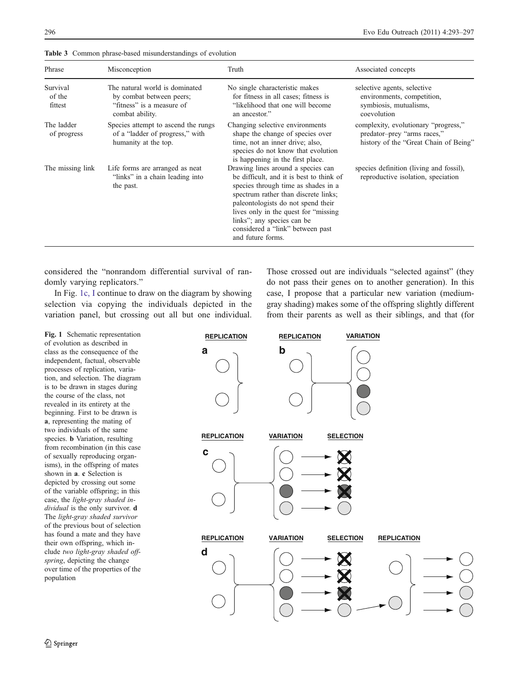| Phrase                        | Misconception                                                                                              | Truth                                                                                                                                                                                                                                                                                                                               | Associated concepts                                                                                          |
|-------------------------------|------------------------------------------------------------------------------------------------------------|-------------------------------------------------------------------------------------------------------------------------------------------------------------------------------------------------------------------------------------------------------------------------------------------------------------------------------------|--------------------------------------------------------------------------------------------------------------|
| Survival<br>of the<br>fittest | The natural world is dominated<br>by combat between peers;<br>"fitness" is a measure of<br>combat ability. | No single characteristic makes<br>for fitness in all cases; fitness is<br>"likelihood that one will become"<br>an ancestor."                                                                                                                                                                                                        | selective agents, selective<br>environments, competition,<br>symbiosis, mutualisms,<br>coevolution           |
| The ladder<br>of progress     | Species attempt to ascend the rungs<br>of a "ladder of progress," with<br>humanity at the top.             | Changing selective environments<br>shape the change of species over<br>time, not an inner drive; also,<br>species do not know that evolution<br>is happening in the first place.                                                                                                                                                    | complexity, evolutionary "progress,"<br>predator-prey "arms races,"<br>history of the "Great Chain of Being" |
| The missing link              | Life forms are arranged as neat<br>"links" in a chain leading into<br>the past.                            | Drawing lines around a species can<br>be difficult, and it is best to think of<br>species through time as shades in a<br>spectrum rather than discrete links;<br>paleontologists do not spend their<br>lives only in the quest for "missing"<br>links"; any species can be<br>considered a "link" between past<br>and future forms. | species definition (living and fossil),<br>reproductive isolation, speciation                                |

<span id="page-3-0"></span>Table 3 Common phrase-based misunderstandings of evolution

considered the "nonrandom differential survival of randomly varying replicators."

In Fig. 1c, I continue to draw on the diagram by showing selection via copying the individuals depicted in the variation panel, but crossing out all but one individual. Those crossed out are individuals "selected against" (they do not pass their genes on to another generation). In this case, I propose that a particular new variation (mediumgray shading) makes some of the offspring slightly different from their parents as well as their siblings, and that (for

Fig. 1 Schematic representation of evolution as described in class as the consequence of the independent, factual, observable processes of replication, variation, and selection. The diagram is to be drawn in stages during the course of the class, not revealed in its entirety at the beginning. First to be drawn is a, representing the mating of two individuals of the same species. b Variation, resulting from recombination (in this case of sexually reproducing organisms), in the offspring of mates shown in a. c Selection is depicted by crossing out some of the variable offspring; in this case, the light-gray shaded individual is the only survivor. **d** The light-gray shaded survivor of the previous bout of selection has found a mate and they have their own offspring, which include two light-gray shaded offspring, depicting the change over time of the properties of the population